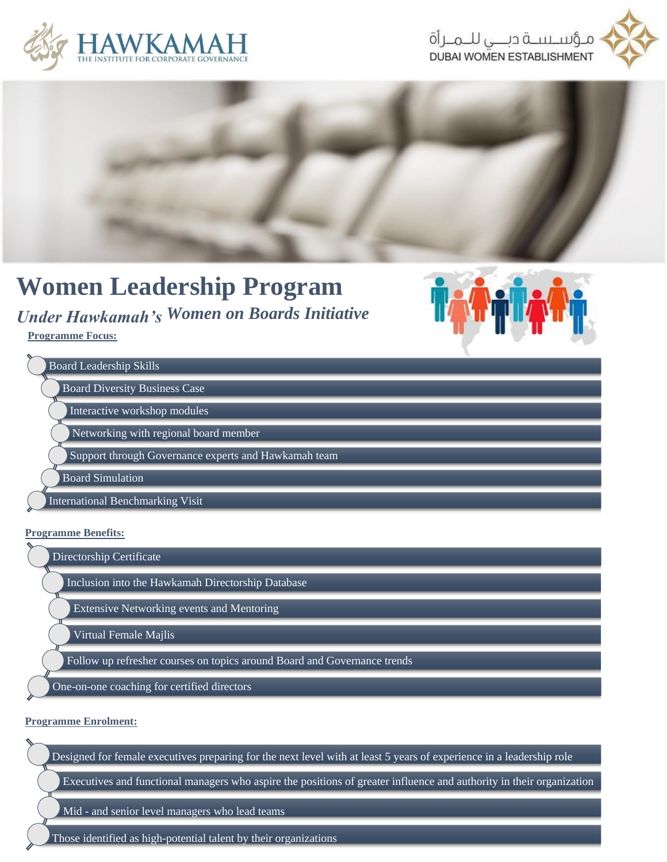





## **Women Leadership Program**

## *Under Hawkamah's Women on Boards Initiative*

**Programme Focus:**



### **Programme Benefits:**

Directorship Certificate

Inclusion into the Hawkamah Directorship Database

Extensive Networking events and Mentoring

Virtual Female Majlis

Follow up refresher courses on topics around Board and Governance trends

One-on-one coaching for certified directors

#### **Programme Enrolment:**

Designed for female executives preparing for the next level with at least 5 years of experience in a leadership role

Executives and functional managers who aspire the positions of greater influence and authority in their organization

Mid - and senior level managers who lead teams

Those identified as high-potential talent by their organizations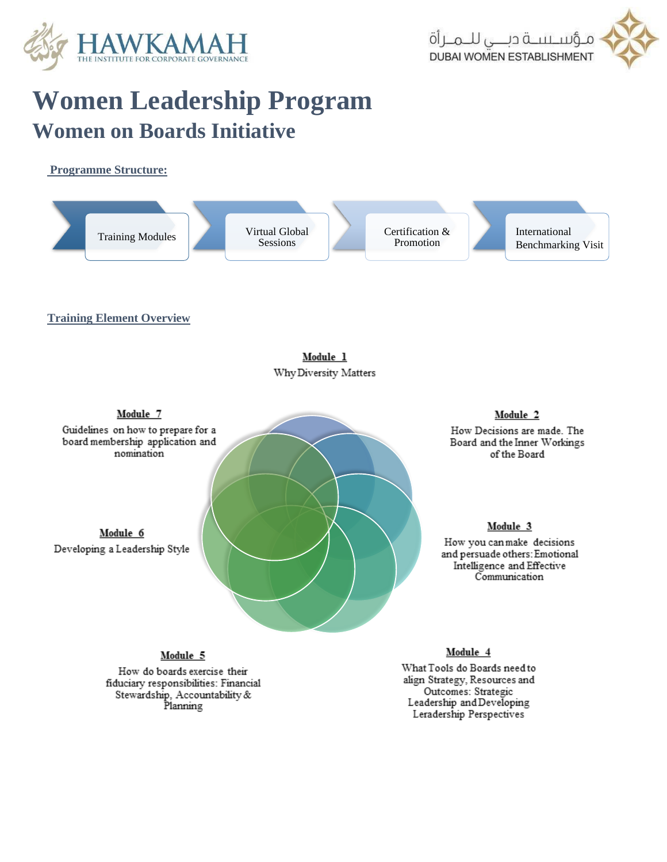

# **Women Leadership Program Women on Boards Initiative**

### **Programme Structure:**



Module 5

How do boards exercise their fiduciary responsibilities: Financial Stewardship, Accountability &<br>Planning

### Module 4

What Tools do Boards need to align Strategy, Resources and Outcomes: Strategic Leadership and Developing Leradership Perspectives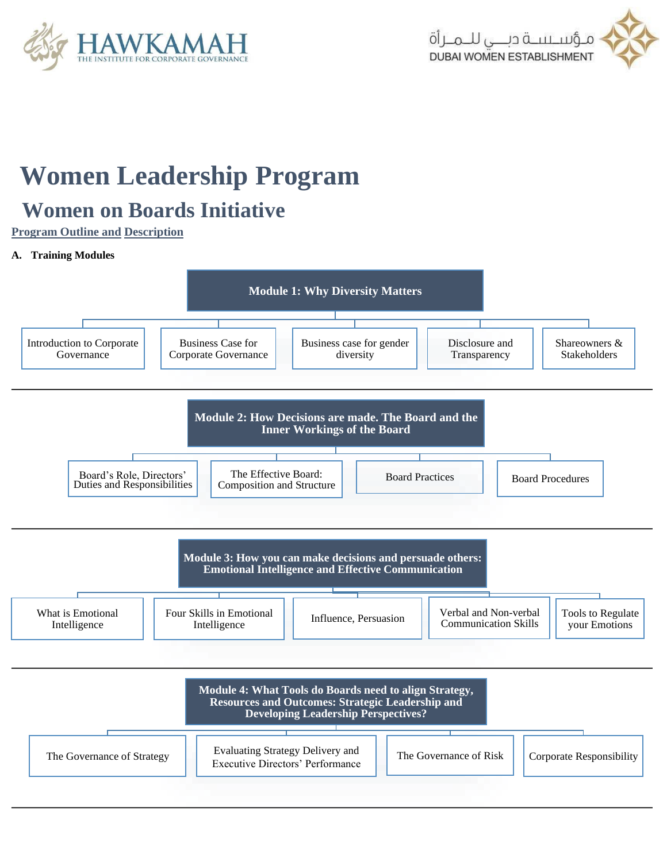



# **Women Leadership Program**

### **Women on Boards Initiative**

**Program Outline and Description**

### **A. Training Modules**



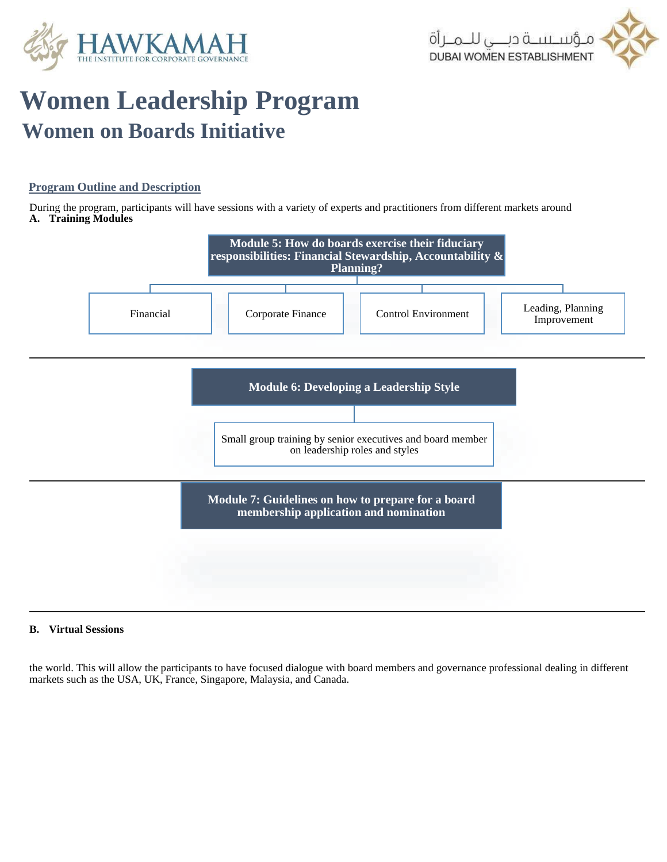



# **Women Leadership Program Women on Boards Initiative**

### **Program Outline and Description**

During the program, participants will have sessions with a variety of experts and practitioners from different markets around **A. Training Modules**



#### **B. Virtual Sessions**

the world. This will allow the participants to have focused dialogue with board members and governance professional dealing in different markets such as the USA, UK, France, Singapore, Malaysia, and Canada.